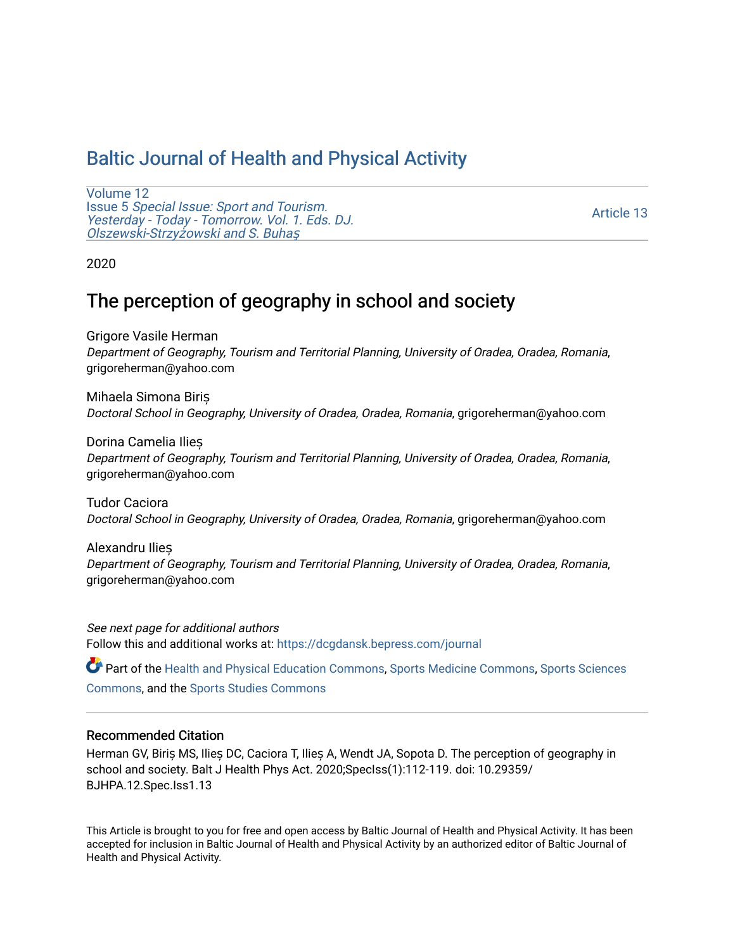# [Baltic Journal of Health and Physical Activity](https://dcgdansk.bepress.com/journal)

[Volume 12](https://dcgdansk.bepress.com/journal/vol12) Issue 5 [Special Issue: Sport and Tourism.](https://dcgdansk.bepress.com/journal/vol12/iss5)  [Yesterday - Today - Tomorrow. Vol. 1. Eds. DJ.](https://dcgdansk.bepress.com/journal/vol12/iss5)  [Olszewski-Strzy](https://dcgdansk.bepress.com/journal/vol12/iss5)żowski and S. Buhaş

[Article 13](https://dcgdansk.bepress.com/journal/vol12/iss5/13) 

2020

# The perception of geography in school and society

Grigore Vasile Herman Department of Geography, Tourism and Territorial Planning, University of Oradea, Oradea, Romania, grigoreherman@yahoo.com

Mihaela Simona Biriș Doctoral School in Geography, University of Oradea, Oradea, Romania, grigoreherman@yahoo.com

Dorina Camelia Ilieș Department of Geography, Tourism and Territorial Planning, University of Oradea, Oradea, Romania, grigoreherman@yahoo.com

Tudor Caciora Doctoral School in Geography, University of Oradea, Oradea, Romania, grigoreherman@yahoo.com

Alexandru Ilieș Department of Geography, Tourism and Territorial Planning, University of Oradea, Oradea, Romania, grigoreherman@yahoo.com

See next page for additional authors Follow this and additional works at: [https://dcgdansk.bepress.com/journal](https://dcgdansk.bepress.com/journal?utm_source=dcgdansk.bepress.com%2Fjournal%2Fvol12%2Fiss5%2F13&utm_medium=PDF&utm_campaign=PDFCoverPages)

Part of the [Health and Physical Education Commons](http://network.bepress.com/hgg/discipline/1327?utm_source=dcgdansk.bepress.com%2Fjournal%2Fvol12%2Fiss5%2F13&utm_medium=PDF&utm_campaign=PDFCoverPages), [Sports Medicine Commons,](http://network.bepress.com/hgg/discipline/1331?utm_source=dcgdansk.bepress.com%2Fjournal%2Fvol12%2Fiss5%2F13&utm_medium=PDF&utm_campaign=PDFCoverPages) [Sports Sciences](http://network.bepress.com/hgg/discipline/759?utm_source=dcgdansk.bepress.com%2Fjournal%2Fvol12%2Fiss5%2F13&utm_medium=PDF&utm_campaign=PDFCoverPages) [Commons](http://network.bepress.com/hgg/discipline/759?utm_source=dcgdansk.bepress.com%2Fjournal%2Fvol12%2Fiss5%2F13&utm_medium=PDF&utm_campaign=PDFCoverPages), and the [Sports Studies Commons](http://network.bepress.com/hgg/discipline/1198?utm_source=dcgdansk.bepress.com%2Fjournal%2Fvol12%2Fiss5%2F13&utm_medium=PDF&utm_campaign=PDFCoverPages) 

### Recommended Citation

Herman GV, Biriș MS, Ilieș DC, Caciora T, Ilieș A, Wendt JA, Sopota D. The perception of geography in school and society. Balt J Health Phys Act. 2020;SpecIss(1):112-119. doi: 10.29359/ BJHPA.12.Spec.Iss1.13

This Article is brought to you for free and open access by Baltic Journal of Health and Physical Activity. It has been accepted for inclusion in Baltic Journal of Health and Physical Activity by an authorized editor of Baltic Journal of Health and Physical Activity.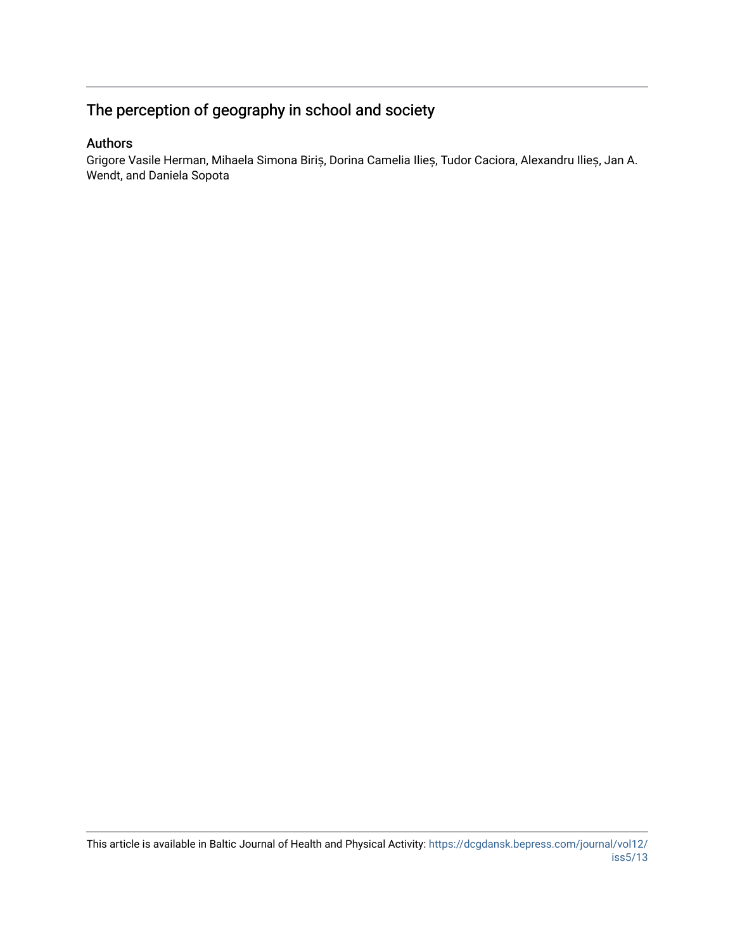# The perception of geography in school and society

## Authors

Grigore Vasile Herman, Mihaela Simona Biriș, Dorina Camelia Ilieș, Tudor Caciora, Alexandru Ilieș, Jan A. Wendt, and Daniela Sopota

This article is available in Baltic Journal of Health and Physical Activity: [https://dcgdansk.bepress.com/journal/vol12/](https://dcgdansk.bepress.com/journal/vol12/iss5/13) [iss5/13](https://dcgdansk.bepress.com/journal/vol12/iss5/13)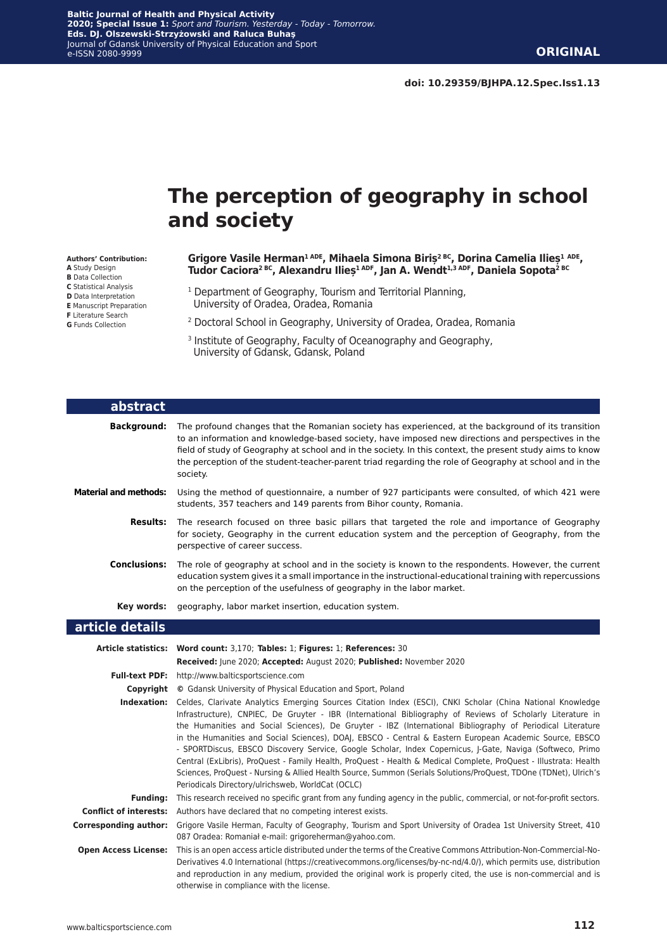# **The perception of geography in school and society**

#### **Authors' Contribution:**

- **A** Study Design
- **B** Data Collection **C** Statistical Analysis
- **D** Data Interpretation
- **E** Manuscript Preparation
- **F** Literature Search
- **G** Funds Collection

**Grigore Vasile Herman1 ADE, Mihaela Simona Biriș2 BC, Dorina Camelia Ilieș<sup>1</sup> ADE,**  Tudor Caciora<sup>2 BC</sup>, Alexandru Ilieș<sup>1 ADF</sup>, Jan A. Wendt<sup>1,3 ADF</sup>, Daniela Sopota<sup>2 BC</sup>

- 1 Department of Geography, Tourism and Territorial Planning, University of Oradea, Oradea, Romania
- 2 Doctoral School in Geography, University of Oradea, Oradea, Romania
- 3 Institute of Geography, Faculty of Oceanography and Geography, University of Gdansk, Gdansk, Poland

| abstract                     |                                                                                                                                                                                                                                                                                                                                                                                                                                                                                                                                                                                                                                                                                                                                                                                                                                                                           |
|------------------------------|---------------------------------------------------------------------------------------------------------------------------------------------------------------------------------------------------------------------------------------------------------------------------------------------------------------------------------------------------------------------------------------------------------------------------------------------------------------------------------------------------------------------------------------------------------------------------------------------------------------------------------------------------------------------------------------------------------------------------------------------------------------------------------------------------------------------------------------------------------------------------|
| <b>Background:</b>           | The profound changes that the Romanian society has experienced, at the background of its transition<br>to an information and knowledge-based society, have imposed new directions and perspectives in the<br>field of study of Geography at school and in the society. In this context, the present study aims to know<br>the perception of the student-teacher-parent triad regarding the role of Geography at school and in the<br>society.                                                                                                                                                                                                                                                                                                                                                                                                                             |
| <b>Material and methods:</b> | Using the method of questionnaire, a number of 927 participants were consulted, of which 421 were<br>students, 357 teachers and 149 parents from Bihor county, Romania.                                                                                                                                                                                                                                                                                                                                                                                                                                                                                                                                                                                                                                                                                                   |
| <b>Results:</b>              | The research focused on three basic pillars that targeted the role and importance of Geography<br>for society, Geography in the current education system and the perception of Geography, from the<br>perspective of career success.                                                                                                                                                                                                                                                                                                                                                                                                                                                                                                                                                                                                                                      |
| <b>Conclusions:</b>          | The role of geography at school and in the society is known to the respondents. However, the current<br>education system gives it a small importance in the instructional-educational training with repercussions<br>on the perception of the usefulness of geography in the labor market.                                                                                                                                                                                                                                                                                                                                                                                                                                                                                                                                                                                |
| Key words:                   | geography, labor market insertion, education system.                                                                                                                                                                                                                                                                                                                                                                                                                                                                                                                                                                                                                                                                                                                                                                                                                      |
| article details              |                                                                                                                                                                                                                                                                                                                                                                                                                                                                                                                                                                                                                                                                                                                                                                                                                                                                           |
|                              | Article statistics: Word count: 3,170; Tables: 1; Figures: 1; References: 30                                                                                                                                                                                                                                                                                                                                                                                                                                                                                                                                                                                                                                                                                                                                                                                              |
|                              | Received: June 2020; Accepted: August 2020; Published: November 2020                                                                                                                                                                                                                                                                                                                                                                                                                                                                                                                                                                                                                                                                                                                                                                                                      |
| <b>Full-text PDF:</b>        | http://www.balticsportscience.com                                                                                                                                                                                                                                                                                                                                                                                                                                                                                                                                                                                                                                                                                                                                                                                                                                         |
|                              | <b>Copyright</b> © Gdansk University of Physical Education and Sport, Poland                                                                                                                                                                                                                                                                                                                                                                                                                                                                                                                                                                                                                                                                                                                                                                                              |
|                              | Indexation: Celdes, Clarivate Analytics Emerging Sources Citation Index (ESCI), CNKI Scholar (China National Knowledge<br>Infrastructure), CNPIEC, De Gruyter - IBR (International Bibliography of Reviews of Scholarly Literature in<br>the Humanities and Social Sciences), De Gruyter - IBZ (International Bibliography of Periodical Literature<br>in the Humanities and Social Sciences), DOAJ, EBSCO - Central & Eastern European Academic Source, EBSCO<br>- SPORTDiscus, EBSCO Discovery Service, Google Scholar, Index Copernicus, J-Gate, Naviga (Softweco, Primo<br>Central (ExLibris), ProQuest - Family Health, ProQuest - Health & Medical Complete, ProQuest - Illustrata: Health<br>Sciences, ProQuest - Nursing & Allied Health Source, Summon (Serials Solutions/ProQuest, TDOne (TDNet), Ulrich's<br>Periodicals Directory/ulrichsweb, WorldCat (OCLC) |
| <b>Funding:</b>              | This research received no specific grant from any funding agency in the public, commercial, or not-for-profit sectors.                                                                                                                                                                                                                                                                                                                                                                                                                                                                                                                                                                                                                                                                                                                                                    |
|                              | <b>Conflict of interests:</b> Authors have declared that no competing interest exists.                                                                                                                                                                                                                                                                                                                                                                                                                                                                                                                                                                                                                                                                                                                                                                                    |
| <b>Corresponding author:</b> | Grigore Vasile Herman, Faculty of Geography, Tourism and Sport University of Oradea 1st University Street, 410<br>087 Oradea: Romaniał e-mail: grigoreherman@yahoo.com.                                                                                                                                                                                                                                                                                                                                                                                                                                                                                                                                                                                                                                                                                                   |
| <b>Open Access License:</b>  | This is an open access article distributed under the terms of the Creative Commons Attribution-Non-Commercial-No-<br>Derivatives 4.0 International (https://creativecommons.org/licenses/by-nc-nd/4.0/), which permits use, distribution                                                                                                                                                                                                                                                                                                                                                                                                                                                                                                                                                                                                                                  |

otherwise in compliance with the license.

and reproduction in any medium, provided the original work is properly cited, the use is non-commercial and is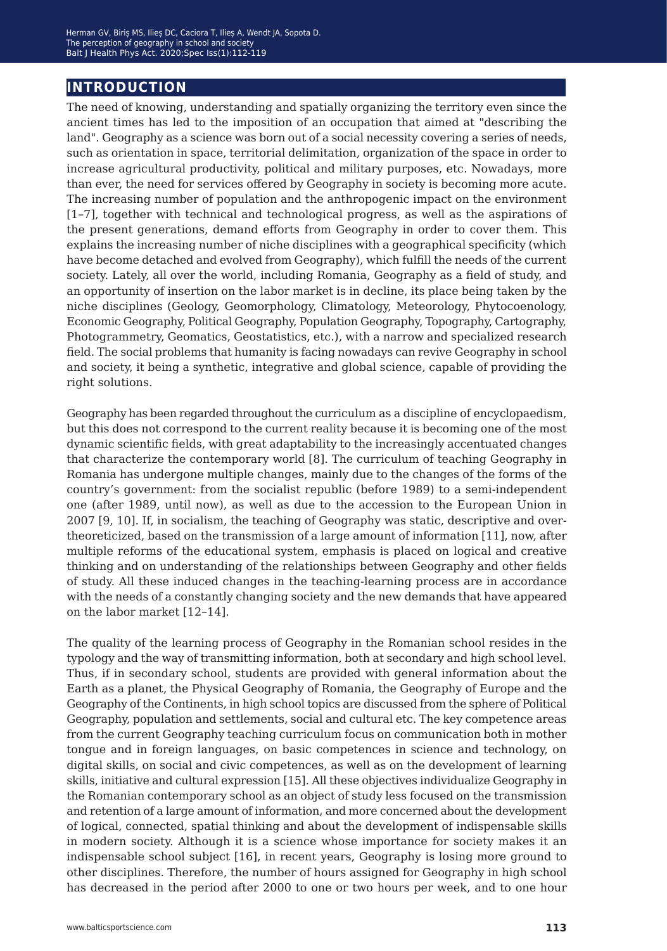# **introduction**

The need of knowing, understanding and spatially organizing the territory even since the ancient times has led to the imposition of an occupation that aimed at "describing the land". Geography as a science was born out of a social necessity covering a series of needs, such as orientation in space, territorial delimitation, organization of the space in order to increase agricultural productivity, political and military purposes, etc. Nowadays, more than ever, the need for services offered by Geography in society is becoming more acute. The increasing number of population and the anthropogenic impact on the environment [1*−*7], together with technical and technological progress, as well as the aspirations of the present generations, demand efforts from Geography in order to cover them. This explains the increasing number of niche disciplines with a geographical specificity (which have become detached and evolved from Geography), which fulfill the needs of the current society. Lately, all over the world, including Romania, Geography as a field of study, and an opportunity of insertion on the labor market is in decline, its place being taken by the niche disciplines (Geology, Geomorphology, Climatology, Meteorology, Phytocoenology, Economic Geography, Political Geography, Population Geography, Topography, Cartography, Photogrammetry, Geomatics, Geostatistics, etc.), with a narrow and specialized research field. The social problems that humanity is facing nowadays can revive Geography in school and society, it being a synthetic, integrative and global science, capable of providing the right solutions.

Geography has been regarded throughout the curriculum as a discipline of encyclopaedism, but this does not correspond to the current reality because it is becoming one of the most dynamic scientific fields, with great adaptability to the increasingly accentuated changes that characterize the contemporary world [8]. The curriculum of teaching Geography in Romania has undergone multiple changes, mainly due to the changes of the forms of the country's government: from the socialist republic (before 1989) to a semi-independent one (after 1989, until now), as well as due to the accession to the European Union in 2007 [9, 10]. If, in socialism, the teaching of Geography was static, descriptive and overtheoreticized, based on the transmission of a large amount of information [11], now, after multiple reforms of the educational system, emphasis is placed on logical and creative thinking and on understanding of the relationships between Geography and other fields of study. All these induced changes in the teaching-learning process are in accordance with the needs of a constantly changing society and the new demands that have appeared on the labor market [12–14].

The quality of the learning process of Geography in the Romanian school resides in the typology and the way of transmitting information, both at secondary and high school level. Thus, if in secondary school, students are provided with general information about the Earth as a planet, the Physical Geography of Romania, the Geography of Europe and the Geography of the Continents, in high school topics are discussed from the sphere of Political Geography, population and settlements, social and cultural etc. The key competence areas from the current Geography teaching curriculum focus on communication both in mother tongue and in foreign languages, on basic competences in science and technology, on digital skills, on social and civic competences, as well as on the development of learning skills, initiative and cultural expression [15]. All these objectives individualize Geography in the Romanian contemporary school as an object of study less focused on the transmission and retention of a large amount of information, and more concerned about the development of logical, connected, spatial thinking and about the development of indispensable skills in modern society. Although it is a science whose importance for society makes it an indispensable school subject [16], in recent years, Geography is losing more ground to other disciplines. Therefore, the number of hours assigned for Geography in high school has decreased in the period after 2000 to one or two hours per week, and to one hour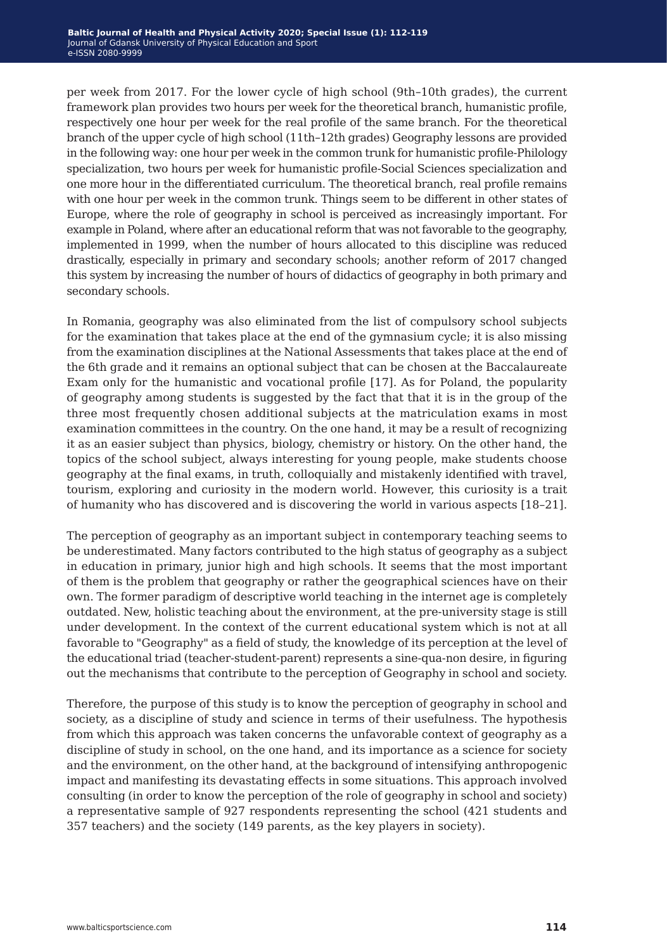per week from 2017. For the lower cycle of high school (9th*−*10th grades), the current framework plan provides two hours per week for the theoretical branch, humanistic profile, respectively one hour per week for the real profile of the same branch. For the theoretical branch of the upper cycle of high school (11th*−*12th grades) Geography lessons are provided in the following way: one hour per week in the common trunk for humanistic profile-Philology specialization, two hours per week for humanistic profile-Social Sciences specialization and one more hour in the differentiated curriculum. The theoretical branch, real profile remains with one hour per week in the common trunk. Things seem to be different in other states of Europe, where the role of geography in school is perceived as increasingly important. For example in Poland, where after an educational reform that was not favorable to the geography, implemented in 1999, when the number of hours allocated to this discipline was reduced drastically, especially in primary and secondary schools; another reform of 2017 changed this system by increasing the number of hours of didactics of geography in both primary and secondary schools.

In Romania, geography was also eliminated from the list of compulsory school subjects for the examination that takes place at the end of the gymnasium cycle; it is also missing from the examination disciplines at the National Assessments that takes place at the end of the 6th grade and it remains an optional subject that can be chosen at the Baccalaureate Exam only for the humanistic and vocational profile [17]. As for Poland, the popularity of geography among students is suggested by the fact that that it is in the group of the three most frequently chosen additional subjects at the matriculation exams in most examination committees in the country. On the one hand, it may be a result of recognizing it as an easier subject than physics, biology, chemistry or history. On the other hand, the topics of the school subject, always interesting for young people, make students choose geography at the final exams, in truth, colloquially and mistakenly identified with travel, tourism, exploring and curiosity in the modern world. However, this curiosity is a trait of humanity who has discovered and is discovering the world in various aspects [18–21].

The perception of geography as an important subject in contemporary teaching seems to be underestimated. Many factors contributed to the high status of geography as a subject in education in primary, junior high and high schools. It seems that the most important of them is the problem that geography or rather the geographical sciences have on their own. The former paradigm of descriptive world teaching in the internet age is completely outdated. New, holistic teaching about the environment, at the pre-university stage is still under development. In the context of the current educational system which is not at all favorable to "Geography" as a field of study, the knowledge of its perception at the level of the educational triad (teacher-student-parent) represents a sine-qua-non desire, in figuring out the mechanisms that contribute to the perception of Geography in school and society.

Therefore, the purpose of this study is to know the perception of geography in school and society, as a discipline of study and science in terms of their usefulness. The hypothesis from which this approach was taken concerns the unfavorable context of geography as a discipline of study in school, on the one hand, and its importance as a science for society and the environment, on the other hand, at the background of intensifying anthropogenic impact and manifesting its devastating effects in some situations. This approach involved consulting (in order to know the perception of the role of geography in school and society) a representative sample of 927 respondents representing the school (421 students and 357 teachers) and the society (149 parents, as the key players in society).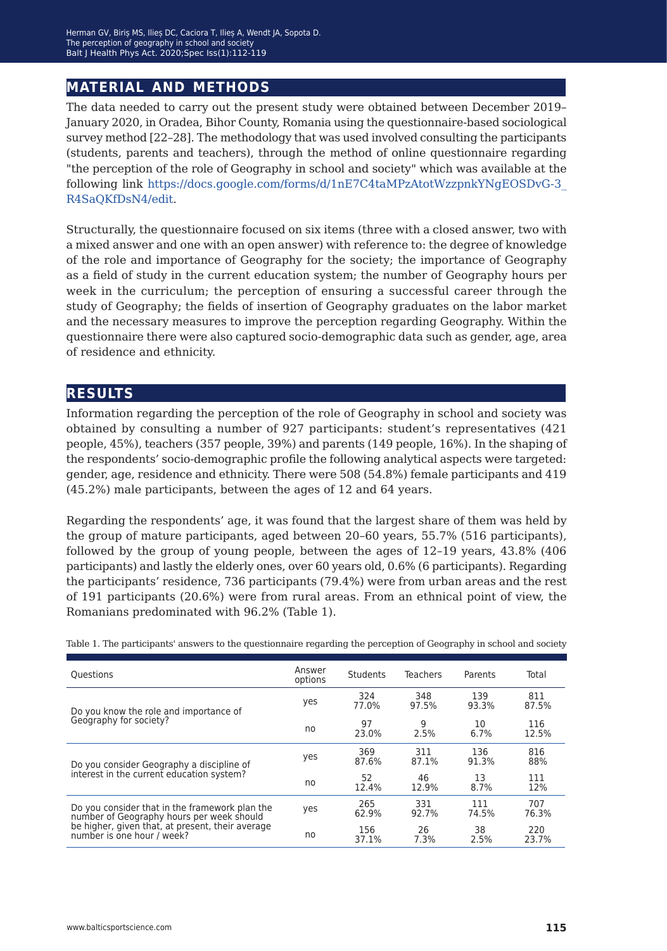# **material and methods**

The data needed to carry out the present study were obtained between December 2019– January 2020, in Oradea, Bihor County, Romania using the questionnaire-based sociological survey method [22–28]. The methodology that was used involved consulting the participants (students, parents and teachers), through the method of online questionnaire regarding "the perception of the role of Geography in school and society" which was available at the following link [https://docs.google.com/forms/d/1nE7C4taMPzAtotWzzpnkYNgEOSDvG-3\\_](https://docs.google.com/forms/d/1nE7C4taMPzAtotWzzpnkYNgEOSDvG-3_R4SaQKfDsN4/edit) [R4SaQKfDsN4/edit](https://docs.google.com/forms/d/1nE7C4taMPzAtotWzzpnkYNgEOSDvG-3_R4SaQKfDsN4/edit).

Structurally, the questionnaire focused on six items (three with a closed answer, two with a mixed answer and one with an open answer) with reference to: the degree of knowledge of the role and importance of Geography for the society; the importance of Geography as a field of study in the current education system; the number of Geography hours per week in the curriculum; the perception of ensuring a successful career through the study of Geography; the fields of insertion of Geography graduates on the labor market and the necessary measures to improve the perception regarding Geography. Within the questionnaire there were also captured socio-demographic data such as gender, age, area of residence and ethnicity.

# **results**

Information regarding the perception of the role of Geography in school and society was obtained by consulting a number of 927 participants: student's representatives (421 people, 45%), teachers (357 people, 39%) and parents (149 people, 16%). In the shaping of the respondents' socio-demographic profile the following analytical aspects were targeted: gender, age, residence and ethnicity. There were 508 (54.8%) female participants and 419 (45.2%) male participants, between the ages of 12 and 64 years.

Regarding the respondents' age, it was found that the largest share of them was held by the group of mature participants, aged between 20–60 years, 55.7% (516 participants), followed by the group of young people, between the ages of 12–19 years, 43.8% (406 participants) and lastly the elderly ones, over 60 years old, 0.6% (6 participants). Regarding the participants' residence, 736 participants (79.4%) were from urban areas and the rest of 191 participants (20.6%) were from rural areas. From an ethnical point of view, the Romanians predominated with 96.2% (Table 1).

| <b>Ouestions</b>                                                                            | Answer<br>options | Students     | <b>Teachers</b> | Parents      | Total        |
|---------------------------------------------------------------------------------------------|-------------------|--------------|-----------------|--------------|--------------|
| Do you know the role and importance of                                                      | yes               | 324<br>77.0% | 348<br>97.5%    | 139<br>93.3% | 811<br>87.5% |
| Geography for society?                                                                      | no                | 97<br>23.0%  | 9<br>2.5%       | 10<br>6.7%   | 116<br>12.5% |
| Do you consider Geography a discipline of                                                   | yes               | 369<br>87.6% | 311<br>87.1%    | 136<br>91.3% | 816<br>88%   |
| interest in the current education system?                                                   | no                | 52<br>12.4%  | 46<br>12.9%     | 13<br>8.7%   | 111<br>12%   |
| Do you consider that in the framework plan the<br>number of Geography hours per week should | yes               | 265<br>62.9% | 331<br>92.7%    | 111<br>74.5% | 707<br>76.3% |
| be higher, given that, at present, their average<br>number is one hour / week?              | no                | 156<br>37.1% | 26<br>7.3%      | 38<br>2.5%   | 220<br>23.7% |

Table 1. The participants' answers to the questionnaire regarding the perception of Geography in school and society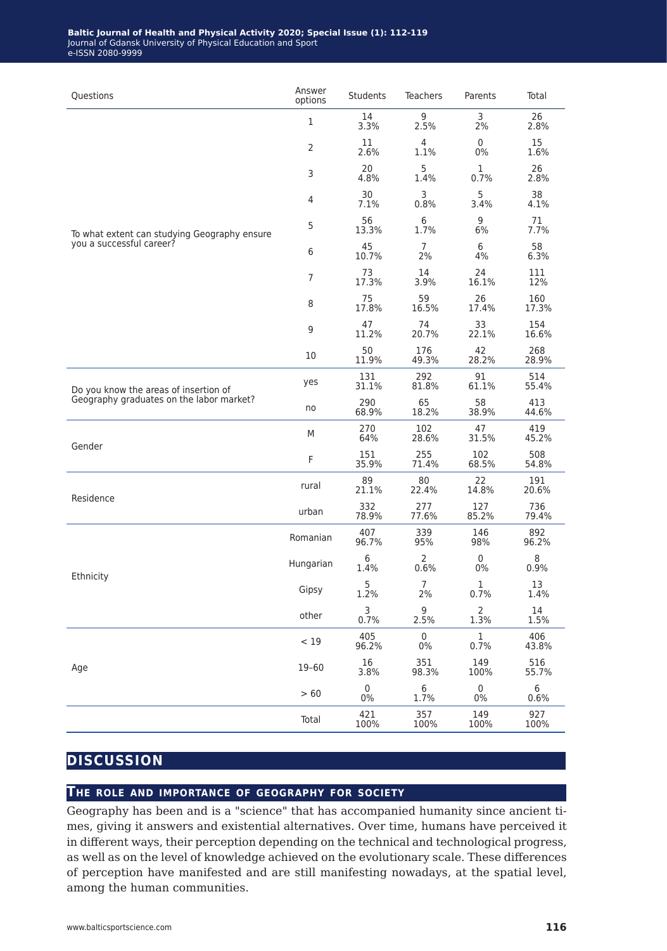#### **Baltic Journal of Health and Physical Activity 2020; Special Issue (1): 112-119** Journal of Gdansk University of Physical Education and Sport e-ISSN 2080-9999

| Questions                                    | Answer<br>options | <b>Students</b>       | <b>Teachers</b>           | Parents                | Total           |
|----------------------------------------------|-------------------|-----------------------|---------------------------|------------------------|-----------------|
|                                              | 1                 | 14<br>3.3%            | 9<br>2.5%                 | 3<br>2%                | 26<br>2.8%      |
|                                              | $\overline{2}$    | 11<br>2.6%            | 4<br>1.1%                 | $\mathbf 0$<br>0%      | 15<br>1.6%      |
|                                              | 3                 | 20<br>4.8%            | 5<br>1.4%                 | 1<br>0.7%              | 26<br>2.8%      |
|                                              | $\overline{4}$    | 30<br>7.1%            | 3<br>0.8%                 | 5<br>3.4%              | 38<br>4.1%      |
| To what extent can studying Geography ensure | 5                 | 56<br>13.3%           | 6<br>1.7%                 | 9<br>6%                | 71<br>7.7%      |
| you a successful career?                     | 6                 | 45<br>10.7%           | $\overline{7}$<br>2%      | 6<br>4%                | 58<br>6.3%      |
|                                              | $\overline{7}$    | 73<br>17.3%           | 14<br>3.9%                | 24<br>16.1%            | 111<br>12%      |
|                                              | 8                 | 75<br>17.8%           | 59<br>16.5%               | 26<br>17.4%            | 160<br>17.3%    |
|                                              | 9                 | 47<br>11.2%           | 74<br>20.7%               | 33<br>22.1%            | 154<br>16.6%    |
|                                              | 10                | 50<br>11.9%           | 176<br>49.3%              | 42<br>28.2%            | 268<br>28.9%    |
| Do you know the areas of insertion of        | yes               | 131<br>31.1%          | 292<br>81.8%              | 91<br>61.1%            | 514<br>55.4%    |
| Geography graduates on the labor market?     | no                | 290<br>68.9%          | 65<br>18.2%               | 58<br>38.9%            | 413<br>44.6%    |
| Gender                                       | M                 | 270<br>64%            | 102<br>28.6%              | 47<br>31.5%            | 419<br>45.2%    |
|                                              | F                 | 151<br>35.9%          | 255<br>71.4%              | 102<br>68.5%           | 508<br>54.8%    |
| Residence                                    | rural             | 89<br>21.1%           | 80<br>22.4%               | 22<br>14.8%            | 191<br>20.6%    |
|                                              | urban             | 332<br>78.9%          | 277<br>77.6%              | 127<br>85.2%           | 736<br>79.4%    |
|                                              | Romanian          | 407<br>96.7%          | 339<br>95%                | 146<br>98%             | 892<br>96.2%    |
| Ethnicity                                    | Hungarian         | 6<br>1.4%             | $\overline{2}$<br>0.6%    | $\mathbf 0$<br>0%      | 8<br>0.9%       |
|                                              | Gipsy             | 5<br>1.2%             | 7<br>2%                   | 1<br>0.7%              | 13<br>1.4%      |
|                                              | other             | $\mathsf{3}$<br>0.7%  | 9<br>2.5%                 | $\overline{2}$<br>1.3% | 14<br>1.5%      |
|                                              | < 19              | 405<br>96.2%          | $\mathsf{O}\xspace$<br>0% | $\mathbf{1}$<br>0.7%   | 406<br>43.8%    |
| Age                                          | $19 - 60$         | $16\,$<br>3.8%        | 351<br>98.3%              | 149<br>100%            | 516<br>55.7%    |
|                                              | $>60$             | $\mathsf{0}$<br>$0\%$ | $\,6\,$<br>1.7%           | $\mathbf 0$<br>$0\%$   | $\,6\,$<br>0.6% |
|                                              | Total             | 421<br>100%           | 357<br>100%               | 149<br>100%            | 927<br>100%     |

# **discussion**

### **The role and importance of geography for society**

Geography has been and is a "science" that has accompanied humanity since ancient times, giving it answers and existential alternatives. Over time, humans have perceived it in different ways, their perception depending on the technical and technological progress, as well as on the level of knowledge achieved on the evolutionary scale. These differences of perception have manifested and are still manifesting nowadays, at the spatial level, among the human communities.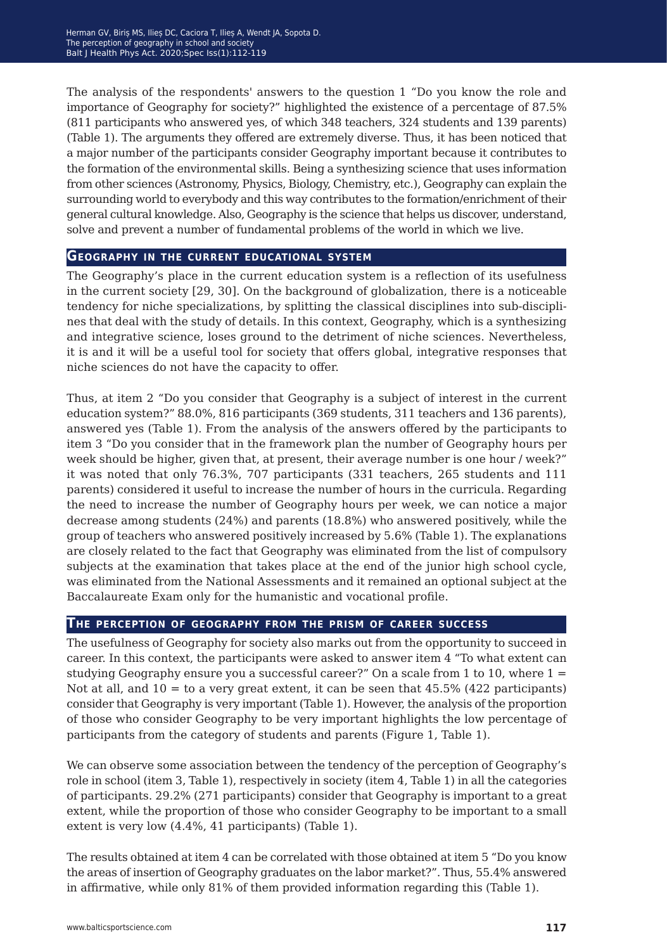The analysis of the respondents' answers to the question 1 "Do you know the role and importance of Geography for society?" highlighted the existence of a percentage of 87.5% (811 participants who answered yes, of which 348 teachers, 324 students and 139 parents) (Table 1). The arguments they offered are extremely diverse. Thus, it has been noticed that a major number of the participants consider Geography important because it contributes to the formation of the environmental skills. Being a synthesizing science that uses information from other sciences (Astronomy, Physics, Biology, Chemistry, etc.), Geography can explain the surrounding world to everybody and this way contributes to the formation/enrichment of their general cultural knowledge. Also, Geography is the science that helps us discover, understand, solve and prevent a number of fundamental problems of the world in which we live.

### **Geography in the current educational system**

The Geography's place in the current education system is a reflection of its usefulness in the current society [29, 30]. On the background of globalization, there is a noticeable tendency for niche specializations, by splitting the classical disciplines into sub-disciplines that deal with the study of details. In this context, Geography, which is a synthesizing and integrative science, loses ground to the detriment of niche sciences. Nevertheless, it is and it will be a useful tool for society that offers global, integrative responses that niche sciences do not have the capacity to offer.

Thus, at item 2 "Do you consider that Geography is a subject of interest in the current education system?" 88.0%, 816 participants (369 students, 311 teachers and 136 parents), answered yes (Table 1). From the analysis of the answers offered by the participants to item 3 "Do you consider that in the framework plan the number of Geography hours per week should be higher, given that, at present, their average number is one hour / week?" it was noted that only 76.3%, 707 participants (331 teachers, 265 students and 111 parents) considered it useful to increase the number of hours in the curricula. Regarding the need to increase the number of Geography hours per week, we can notice a major decrease among students (24%) and parents (18.8%) who answered positively, while the group of teachers who answered positively increased by 5.6% (Table 1). The explanations are closely related to the fact that Geography was eliminated from the list of compulsory subjects at the examination that takes place at the end of the junior high school cycle, was eliminated from the National Assessments and it remained an optional subject at the Baccalaureate Exam only for the humanistic and vocational profile.

### **The perception of geography from the prism of career success**

The usefulness of Geography for society also marks out from the opportunity to succeed in career. In this context, the participants were asked to answer item 4 "To what extent can studying Geography ensure you a successful career?" On a scale from 1 to 10, where  $1 =$ Not at all, and  $10 =$  to a very great extent, it can be seen that  $45.5\%$  ( $422$  participants) consider that Geography is very important (Table 1). However, the analysis of the proportion of those who consider Geography to be very important highlights the low percentage of participants from the category of students and parents (Figure 1, Table 1).

We can observe some association between the tendency of the perception of Geography's role in school (item 3, Table 1), respectively in society (item 4, Table 1) in all the categories of participants. 29.2% (271 participants) consider that Geography is important to a great extent, while the proportion of those who consider Geography to be important to a small extent is very low (4.4%, 41 participants) (Table 1).

The results obtained at item 4 can be correlated with those obtained at item 5 "Do you know the areas of insertion of Geography graduates on the labor market?". Thus, 55.4% answered in affirmative, while only 81% of them provided information regarding this (Table 1).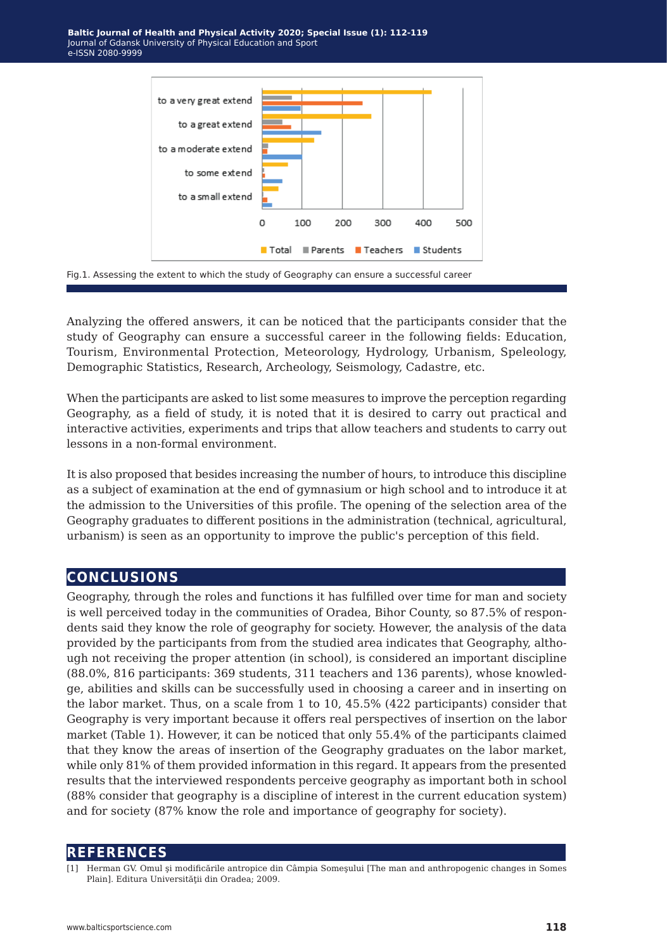



Analyzing the offered answers, it can be noticed that the participants consider that the study of Geography can ensure a successful career in the following fields: Education, Tourism, Environmental Protection, Meteorology, Hydrology, Urbanism, Speleology, Demographic Statistics, Research, Archeology, Seismology, Cadastre, etc.

When the participants are asked to list some measures to improve the perception regarding Geography, as a field of study, it is noted that it is desired to carry out practical and interactive activities, experiments and trips that allow teachers and students to carry out lessons in a non-formal environment.

It is also proposed that besides increasing the number of hours, to introduce this discipline as a subject of examination at the end of gymnasium or high school and to introduce it at the admission to the Universities of this profile. The opening of the selection area of the Geography graduates to different positions in the administration (technical, agricultural, urbanism) is seen as an opportunity to improve the public's perception of this field.

# **conclusions**

Geography, through the roles and functions it has fulfilled over time for man and society is well perceived today in the communities of Oradea, Bihor County, so 87.5% of respondents said they know the role of geography for society. However, the analysis of the data provided by the participants from from the studied area indicates that Geography, although not receiving the proper attention (in school), is considered an important discipline (88.0%, 816 participants: 369 students, 311 teachers and 136 parents), whose knowledge, abilities and skills can be successfully used in choosing a career and in inserting on the labor market. Thus, on a scale from 1 to 10, 45.5% (422 participants) consider that Geography is very important because it offers real perspectives of insertion on the labor market (Table 1). However, it can be noticed that only 55.4% of the participants claimed that they know the areas of insertion of the Geography graduates on the labor market, while only 81% of them provided information in this regard. It appears from the presented results that the interviewed respondents perceive geography as important both in school (88% consider that geography is a discipline of interest in the current education system) and for society (87% know the role and importance of geography for society).

### **references**

[1] Herman GV. Omul şi modificările antropice din Câmpia Someşului [The man and anthropogenic changes in Somes Plain]. Editura Universității din Oradea: 2009.